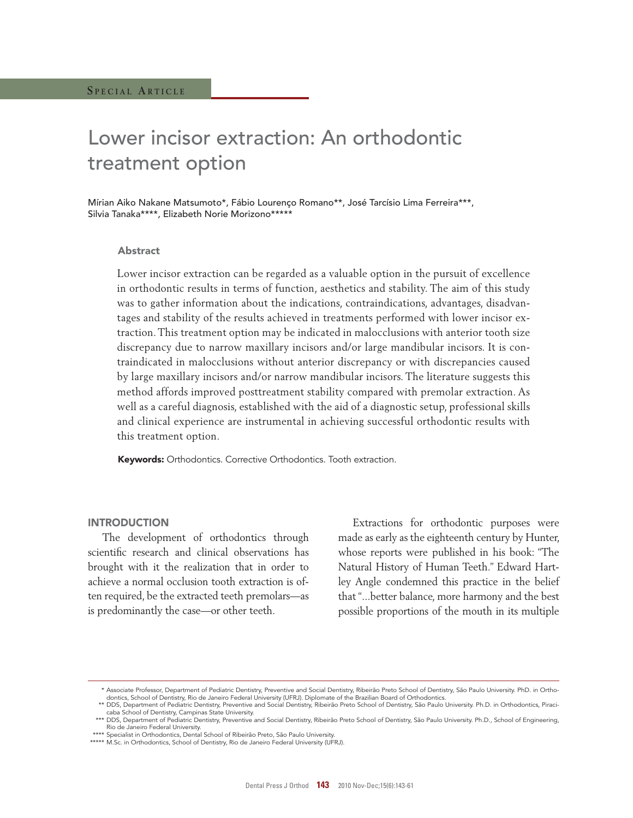# Lower incisor extraction: An orthodontic treatment option

Mírian Aiko Nakane Matsumoto\*, Fábio Lourenço Romano\*\*, José Tarcísio Lima Ferreira\*\*\*, Silvia Tanaka\*\*\*\*, Elizabeth Norie Morizono\*\*\*\*\*

#### Abstract

Lower incisor extraction can be regarded as a valuable option in the pursuit of excellence in orthodontic results in terms of function, aesthetics and stability. The aim of this study was to gather information about the indications, contraindications, advantages, disadvantages and stability of the results achieved in treatments performed with lower incisor extraction. This treatment option may be indicated in malocclusions with anterior tooth size discrepancy due to narrow maxillary incisors and/or large mandibular incisors. It is contraindicated in malocclusions without anterior discrepancy or with discrepancies caused by large maxillary incisors and/or narrow mandibular incisors. The literature suggests this method affords improved posttreatment stability compared with premolar extraction. As well as a careful diagnosis, established with the aid of a diagnostic setup, professional skills and clinical experience are instrumental in achieving successful orthodontic results with this treatment option.

Keywords: Orthodontics. Corrective Orthodontics. Tooth extraction.

#### **INTRODUCTION**

The development of orthodontics through scientific research and clinical observations has brought with it the realization that in order to achieve a normal occlusion tooth extraction is often required, be the extracted teeth premolars—as is predominantly the case—or other teeth.

Extractions for orthodontic purposes were made as early as the eighteenth century by Hunter, whose reports were published in his book: "The Natural History of Human Teeth." Edward Hartley Angle condemned this practice in the belief that "...better balance, more harmony and the best possible proportions of the mouth in its multiple

 <sup>\*</sup> Associate Professor, Department of Pediatric Dentistry, Preventive and Social Dentistry, Ribeirão Preto School of Dentistry, São Paulo University. PhD. in Orthodontics, School of Dentistry, Rio de Janeiro Federal University (UFRJ). Diplomate of the Brazilian Board of Orthodontics.

 <sup>\*\*</sup> DDS, Department of Pediatric Dentistry, Preventive and Social Dentistry, Ribeirão Preto School of Dentistry, São Paulo University. Ph.D. in Orthodontics, Piracicaba School of Dentistry, Campinas State University.

 <sup>\*\*\*</sup> DDS, Department of Pediatric Dentistry, Preventive and Social Dentistry, Ribeirão Preto School of Dentistry, São Paulo University. Ph.D., School of Engineering, Rio de Janeiro Federal University. \*\*\*\* Specialist in Orthodontics, Dental School of Ribeirão Preto, São Paulo University.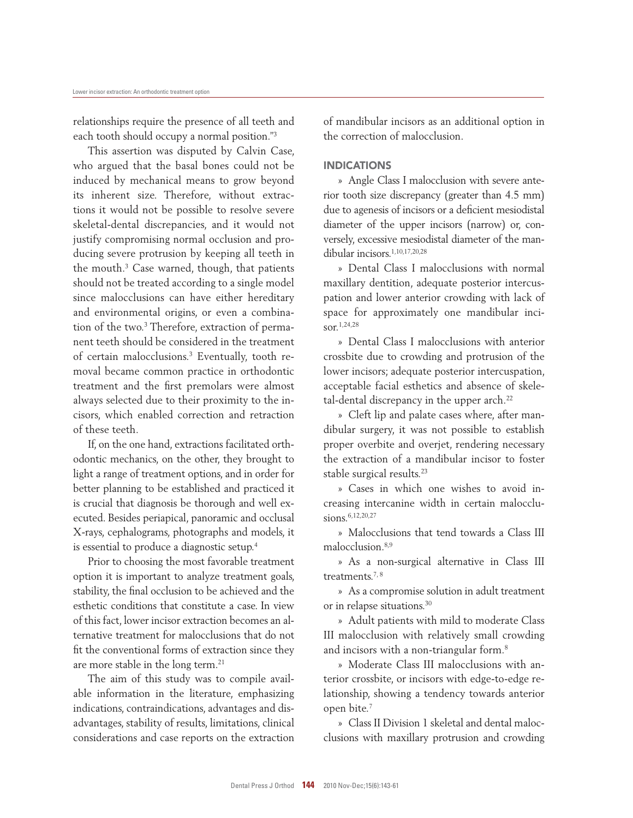relationships require the presence of all teeth and each tooth should occupy a normal position."<sup>3</sup>

This assertion was disputed by Calvin Case, who argued that the basal bones could not be induced by mechanical means to grow beyond its inherent size. Therefore, without extractions it would not be possible to resolve severe skeletal-dental discrepancies, and it would not justify compromising normal occlusion and producing severe protrusion by keeping all teeth in the mouth.<sup>3</sup> Case warned, though, that patients should not be treated according to a single model since malocclusions can have either hereditary and environmental origins, or even a combination of the two.<sup>3</sup> Therefore, extraction of permanent teeth should be considered in the treatment of certain malocclusions.<sup>3</sup> Eventually, tooth removal became common practice in orthodontic treatment and the first premolars were almost always selected due to their proximity to the incisors, which enabled correction and retraction of these teeth.

If, on the one hand, extractions facilitated orthodontic mechanics, on the other, they brought to light a range of treatment options, and in order for better planning to be established and practiced it is crucial that diagnosis be thorough and well executed. Besides periapical, panoramic and occlusal X-rays, cephalograms, photographs and models, it is essential to produce a diagnostic setup.<sup>4</sup>

Prior to choosing the most favorable treatment option it is important to analyze treatment goals, stability, the final occlusion to be achieved and the esthetic conditions that constitute a case. In view of this fact, lower incisor extraction becomes an alternative treatment for malocclusions that do not fit the conventional forms of extraction since they are more stable in the long term.<sup>21</sup>

The aim of this study was to compile available information in the literature, emphasizing indications, contraindications, advantages and disadvantages, stability of results, limitations, clinical considerations and case reports on the extraction of mandibular incisors as an additional option in the correction of malocclusion.

#### **INDICATIONS**

» Angle Class I malocclusion with severe anterior tooth size discrepancy (greater than 4.5 mm) due to agenesis of incisors or a deficient mesiodistal diameter of the upper incisors (narrow) or, conversely, excessive mesiodistal diameter of the mandibular incisors<sup>1,10,17,20,28</sup>

» Dental Class I malocclusions with normal maxillary dentition, adequate posterior intercuspation and lower anterior crowding with lack of space for approximately one mandibular incisor.1,24,28

» Dental Class I malocclusions with anterior crossbite due to crowding and protrusion of the lower incisors; adequate posterior intercuspation, acceptable facial esthetics and absence of skeletal-dental discrepancy in the upper arch.<sup>22</sup>

» Cleft lip and palate cases where, after mandibular surgery, it was not possible to establish proper overbite and overjet, rendering necessary the extraction of a mandibular incisor to foster stable surgical results.<sup>23</sup>

» Cases in which one wishes to avoid increasing intercanine width in certain malocclusions.<sup>6,12,20,27</sup>

» Malocclusions that tend towards a Class III malocclusion.8,9

» As a non-surgical alternative in Class III treatments. $7, 8$ 

» As a compromise solution in adult treatment or in relapse situations.<sup>30</sup>

» Adult patients with mild to moderate Class III malocclusion with relatively small crowding and incisors with a non-triangular form.<sup>8</sup>

» Moderate Class III malocclusions with anterior crossbite, or incisors with edge-to-edge relationship, showing a tendency towards anterior open bite.<sup>7</sup>

» Class II Division 1 skeletal and dental malocclusions with maxillary protrusion and crowding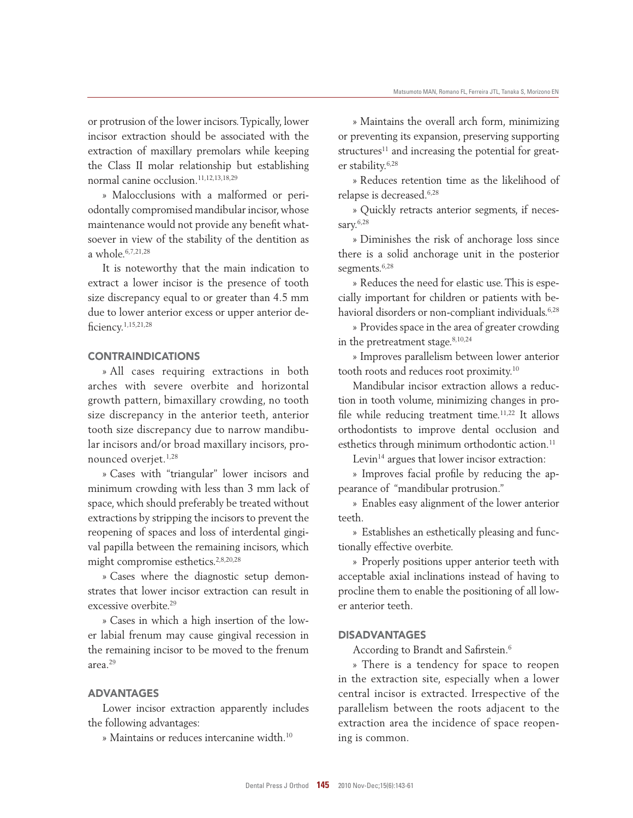or protrusion of the lower incisors. Typically, lower incisor extraction should be associated with the extraction of maxillary premolars while keeping the Class II molar relationship but establishing normal canine occlusion.11,12,13,18,29

» Malocclusions with a malformed or periodontally compromised mandibular incisor, whose maintenance would not provide any benefit whatsoever in view of the stability of the dentition as a whole  $6,7,21,28$ 

It is noteworthy that the main indication to extract a lower incisor is the presence of tooth size discrepancy equal to or greater than 4.5 mm due to lower anterior excess or upper anterior deficiency.1,15,21,28

#### **CONTRAINDICATIONS**

» All cases requiring extractions in both arches with severe overbite and horizontal growth pattern, bimaxillary crowding, no tooth size discrepancy in the anterior teeth, anterior tooth size discrepancy due to narrow mandibular incisors and/or broad maxillary incisors, pronounced overjet.<sup>1,28</sup>

» Cases with "triangular" lower incisors and minimum crowding with less than 3 mm lack of space, which should preferably be treated without extractions by stripping the incisors to prevent the reopening of spaces and loss of interdental gingival papilla between the remaining incisors, which might compromise esthetics.2,8,20,28

» Cases where the diagnostic setup demonstrates that lower incisor extraction can result in excessive overbite.<sup>29</sup>

» Cases in which a high insertion of the lower labial frenum may cause gingival recession in the remaining incisor to be moved to the frenum area.<sup>29</sup>

## **ADVANTAGES**

Lower incisor extraction apparently includes the following advantages:

» Maintains or reduces intercanine width.<sup>10</sup>

» Maintains the overall arch form, minimizing or preventing its expansion, preserving supporting structures<sup>11</sup> and increasing the potential for greater stability.6,28

» Reduces retention time as the likelihood of relapse is decreased.6,28

» Quickly retracts anterior segments, if necessary. $6,28$ 

» Diminishes the risk of anchorage loss since there is a solid anchorage unit in the posterior segments.<sup>6,28</sup>

» Reduces the need for elastic use. This is especially important for children or patients with behavioral disorders or non-compliant individuals.<sup>6,28</sup>

» Provides space in the area of greater crowding in the pretreatment stage.<sup>8,10,24</sup>

» Improves parallelism between lower anterior tooth roots and reduces root proximity.<sup>10</sup>

Mandibular incisor extraction allows a reduction in tooth volume, minimizing changes in profile while reducing treatment time.11,22 It allows orthodontists to improve dental occlusion and esthetics through minimum orthodontic action.<sup>11</sup>

Levin $14$  argues that lower incisor extraction:

» Improves facial profile by reducing the appearance of "mandibular protrusion."

» Enables easy alignment of the lower anterior teeth.

» Establishes an esthetically pleasing and functionally effective overbite.

» Properly positions upper anterior teeth with acceptable axial inclinations instead of having to procline them to enable the positioning of all lower anterior teeth.

## **DISADVANTAGES**

According to Brandt and Safirstein.<sup>6</sup>

» There is a tendency for space to reopen in the extraction site, especially when a lower central incisor is extracted. Irrespective of the parallelism between the roots adjacent to the extraction area the incidence of space reopening is common.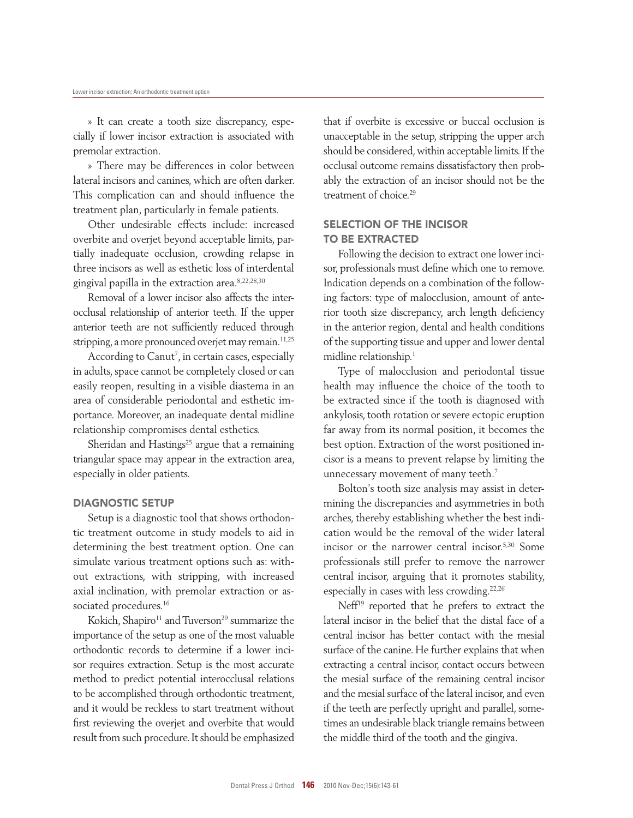» It can create a tooth size discrepancy, especially if lower incisor extraction is associated with premolar extraction.

» There may be differences in color between lateral incisors and canines, which are often darker. This complication can and should influence the treatment plan, particularly in female patients.

Other undesirable effects include: increased overbite and overjet beyond acceptable limits, partially inadequate occlusion, crowding relapse in three incisors as well as esthetic loss of interdental gingival papilla in the extraction area.8,22,28,30

Removal of a lower incisor also affects the interocclusal relationship of anterior teeth. If the upper anterior teeth are not sufficiently reduced through stripping, a more pronounced overjet may remain.<sup>11,25</sup>

According to Canut<sup>7</sup>, in certain cases, especially in adults, space cannot be completely closed or can easily reopen, resulting in a visible diastema in an area of considerable periodontal and esthetic importance. Moreover, an inadequate dental midline relationship compromises dental esthetics.

Sheridan and Hastings<sup>25</sup> argue that a remaining triangular space may appear in the extraction area, especially in older patients.

## DIAGnOStIC SEtUP

Setup is a diagnostic tool that shows orthodontic treatment outcome in study models to aid in determining the best treatment option. One can simulate various treatment options such as: without extractions, with stripping, with increased axial inclination, with premolar extraction or associated procedures.<sup>16</sup>

Kokich, Shapiro<sup>11</sup> and Tuverson<sup>29</sup> summarize the importance of the setup as one of the most valuable orthodontic records to determine if a lower incisor requires extraction. Setup is the most accurate method to predict potential interocclusal relations to be accomplished through orthodontic treatment, and it would be reckless to start treatment without first reviewing the overjet and overbite that would result from such procedure. It should be emphasized that if overbite is excessive or buccal occlusion is unacceptable in the setup, stripping the upper arch should be considered, within acceptable limits. If the occlusal outcome remains dissatisfactory then probably the extraction of an incisor should not be the treatment of choice.<sup>29</sup>

## SELECTION OF THE INCISOR **TO BE EXTRACTED**

Following the decision to extract one lower incisor, professionals must define which one to remove. Indication depends on a combination of the following factors: type of malocclusion, amount of anterior tooth size discrepancy, arch length deficiency in the anterior region, dental and health conditions of the supporting tissue and upper and lower dental midline relationship.<sup>1</sup>

Type of malocclusion and periodontal tissue health may influence the choice of the tooth to be extracted since if the tooth is diagnosed with ankylosis, tooth rotation or severe ectopic eruption far away from its normal position, it becomes the best option. Extraction of the worst positioned incisor is a means to prevent relapse by limiting the unnecessary movement of many teeth.<sup>7</sup>

Bolton's tooth size analysis may assist in determining the discrepancies and asymmetries in both arches, thereby establishing whether the best indication would be the removal of the wider lateral incisor or the narrower central incisor.5,30 Some professionals still prefer to remove the narrower central incisor, arguing that it promotes stability, especially in cases with less crowding.<sup>22,26</sup>

Neff<sup>19</sup> reported that he prefers to extract the lateral incisor in the belief that the distal face of a central incisor has better contact with the mesial surface of the canine. He further explains that when extracting a central incisor, contact occurs between the mesial surface of the remaining central incisor and the mesial surface of the lateral incisor, and even if the teeth are perfectly upright and parallel, sometimes an undesirable black triangle remains between the middle third of the tooth and the gingiva.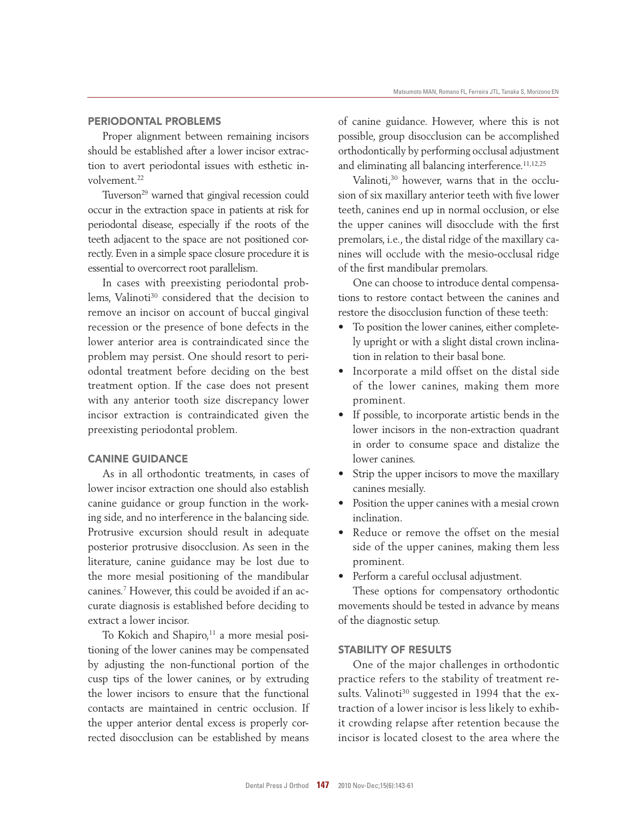## PERIODOntAL PROBLEMS

Proper alignment between remaining incisors should be established after a lower incisor extraction to avert periodontal issues with esthetic involvement.<sup>22</sup>

Tuverson<sup>29</sup> warned that gingival recession could occur in the extraction space in patients at risk for periodontal disease, especially if the roots of the teeth adjacent to the space are not positioned correctly. Even in a simple space closure procedure it is essential to overcorrect root parallelism.

In cases with preexisting periodontal problems, Valinoti<sup>30</sup> considered that the decision to remove an incisor on account of buccal gingival recession or the presence of bone defects in the lower anterior area is contraindicated since the problem may persist. One should resort to periodontal treatment before deciding on the best treatment option. If the case does not present with any anterior tooth size discrepancy lower incisor extraction is contraindicated given the preexisting periodontal problem.

#### CAnInE GUIDAnCE

As in all orthodontic treatments, in cases of lower incisor extraction one should also establish canine guidance or group function in the working side, and no interference in the balancing side. Protrusive excursion should result in adequate posterior protrusive disocclusion. As seen in the literature, canine guidance may be lost due to the more mesial positioning of the mandibular canines.<sup>7</sup> However, this could be avoided if an accurate diagnosis is established before deciding to extract a lower incisor.

To Kokich and Shapiro,<sup>11</sup> a more mesial positioning of the lower canines may be compensated by adjusting the non-functional portion of the cusp tips of the lower canines, or by extruding the lower incisors to ensure that the functional contacts are maintained in centric occlusion. If the upper anterior dental excess is properly corrected disocclusion can be established by means of canine guidance. However, where this is not possible, group disocclusion can be accomplished orthodontically by performing occlusal adjustment and eliminating all balancing interference.<sup>11,12,25</sup>

Valinoti,30 however, warns that in the occlusion of six maxillary anterior teeth with five lower teeth, canines end up in normal occlusion, or else the upper canines will disocclude with the first premolars, i.e., the distal ridge of the maxillary canines will occlude with the mesio-occlusal ridge of the first mandibular premolars.

One can choose to introduce dental compensations to restore contact between the canines and restore the disocclusion function of these teeth:

- To position the lower canines, either completely upright or with a slight distal crown inclination in relation to their basal bone.
- Incorporate a mild offset on the distal side of the lower canines, making them more prominent.
- If possible, to incorporate artistic bends in the lower incisors in the non-extraction quadrant in order to consume space and distalize the lower canines.
- Strip the upper incisors to move the maxillary canines mesially.
- Position the upper canines with a mesial crown inclination.
- Reduce or remove the offset on the mesial side of the upper canines, making them less prominent.
- Perform a careful occlusal adjustment.

These options for compensatory orthodontic movements should be tested in advance by means of the diagnostic setup.

## **STABILITY OF RESULTS**

One of the major challenges in orthodontic practice refers to the stability of treatment results. Valinoti<sup>30</sup> suggested in 1994 that the extraction of a lower incisor is less likely to exhibit crowding relapse after retention because the incisor is located closest to the area where the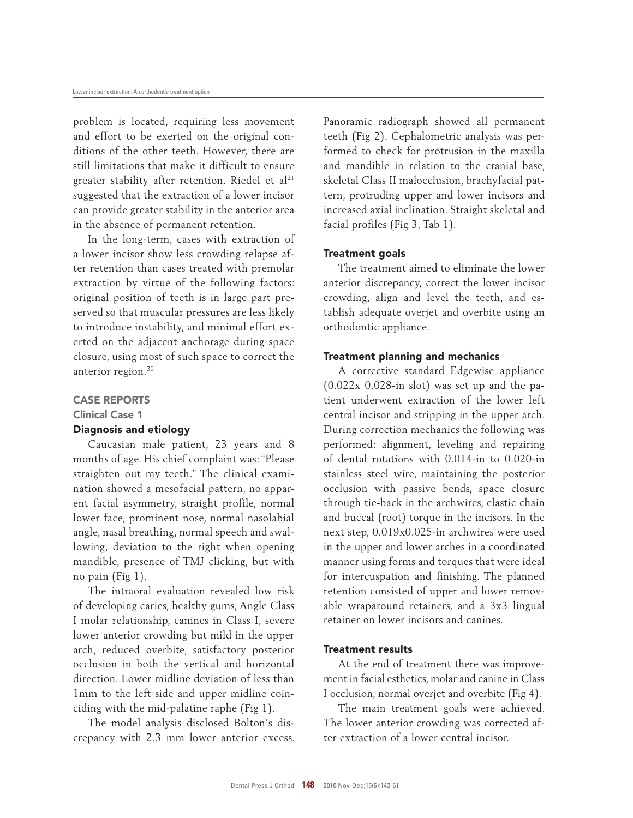problem is located, requiring less movement and effort to be exerted on the original conditions of the other teeth. However, there are still limitations that make it difficult to ensure greater stability after retention. Riedel et al<sup>21</sup> suggested that the extraction of a lower incisor can provide greater stability in the anterior area in the absence of permanent retention.

In the long-term, cases with extraction of a lower incisor show less crowding relapse after retention than cases treated with premolar extraction by virtue of the following factors: original position of teeth is in large part preserved so that muscular pressures are less likely to introduce instability, and minimal effort exerted on the adjacent anchorage during space closure, using most of such space to correct the anterior region.<sup>30</sup>

#### CASE REPORTS

Clinical Case 1

## Diagnosis and etiology

Caucasian male patient, 23 years and 8 months of age. His chief complaint was: "Please straighten out my teeth." The clinical examination showed a mesofacial pattern, no apparent facial asymmetry, straight profile, normal lower face, prominent nose, normal nasolabial angle, nasal breathing, normal speech and swallowing, deviation to the right when opening mandible, presence of TMJ clicking, but with no pain (Fig 1).

The intraoral evaluation revealed low risk of developing caries, healthy gums, Angle Class I molar relationship, canines in Class I, severe lower anterior crowding but mild in the upper arch, reduced overbite, satisfactory posterior occlusion in both the vertical and horizontal direction. Lower midline deviation of less than 1mm to the left side and upper midline coinciding with the mid-palatine raphe (Fig 1).

The model analysis disclosed Bolton's discrepancy with 2.3 mm lower anterior excess. Panoramic radiograph showed all permanent teeth (Fig 2). Cephalometric analysis was performed to check for protrusion in the maxilla and mandible in relation to the cranial base, skeletal Class II malocclusion, brachyfacial pattern, protruding upper and lower incisors and increased axial inclination. Straight skeletal and facial profiles (Fig 3, Tab 1).

#### Treatment goals

The treatment aimed to eliminate the lower anterior discrepancy, correct the lower incisor crowding, align and level the teeth, and establish adequate overjet and overbite using an orthodontic appliance.

#### Treatment planning and mechanics

A corrective standard Edgewise appliance (0.022x 0.028-in slot) was set up and the patient underwent extraction of the lower left central incisor and stripping in the upper arch. During correction mechanics the following was performed: alignment, leveling and repairing of dental rotations with 0.014-in to 0.020-in stainless steel wire, maintaining the posterior occlusion with passive bends, space closure through tie-back in the archwires, elastic chain and buccal (root) torque in the incisors. In the next step, 0.019x0.025-in archwires were used in the upper and lower arches in a coordinated manner using forms and torques that were ideal for intercuspation and finishing. The planned retention consisted of upper and lower removable wraparound retainers, and a 3x3 lingual retainer on lower incisors and canines.

## Treatment results

At the end of treatment there was improvement in facial esthetics, molar and canine in Class I occlusion, normal overjet and overbite (Fig 4).

The main treatment goals were achieved. The lower anterior crowding was corrected after extraction of a lower central incisor.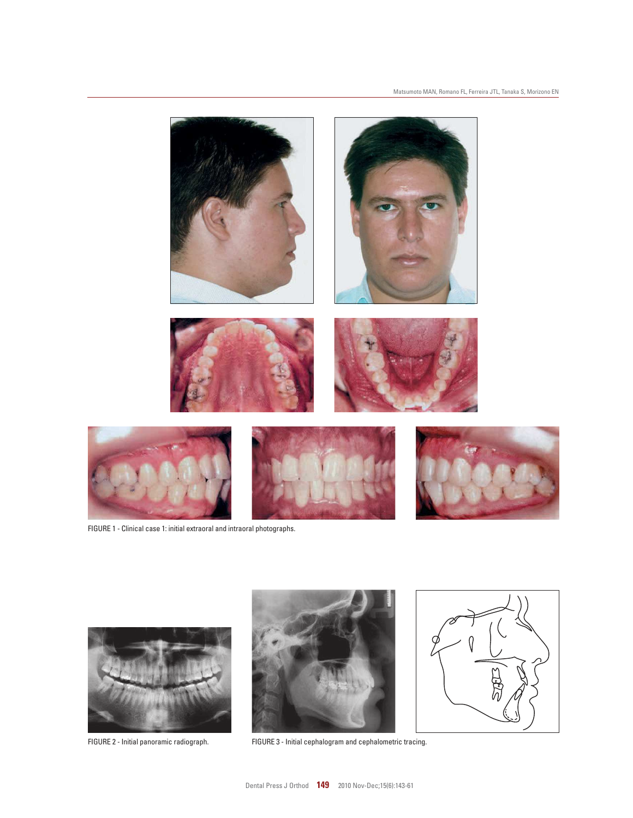

FIGURE 1 - Clinical case 1: initial extraoral and intraoral photographs.





FIGURE 2 - Initial panoramic radiograph. FIGURE 3 - Initial cephalogram and cephalometric tracing.

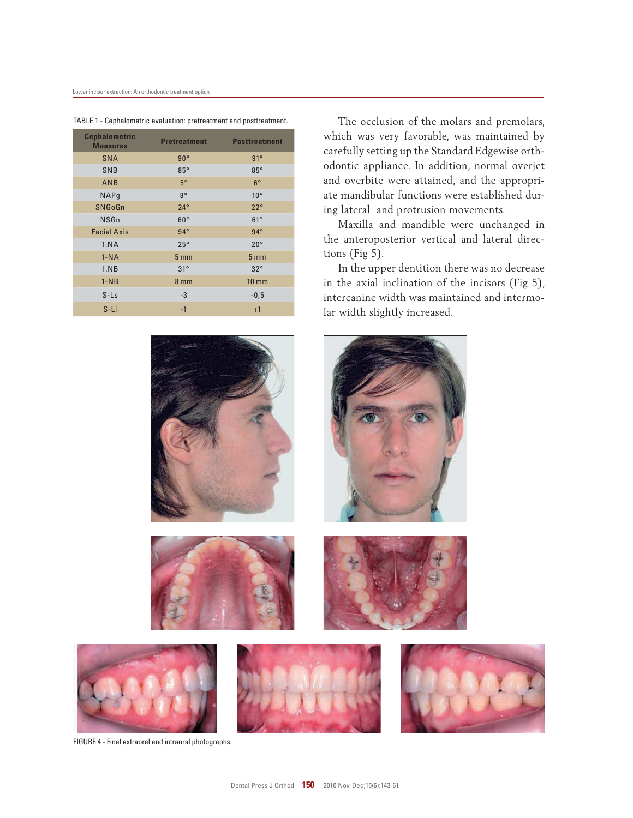| <b>Cephalometric</b><br><b>Measures</b> | <b>Pretreatment</b> | <b>Posttreatment</b> |
|-----------------------------------------|---------------------|----------------------|
| <b>SNA</b>                              | $90^{\circ}$        | 91°                  |
| <b>SNB</b>                              | $85^\circ$          | $85^\circ$           |
| <b>ANB</b>                              | $5^\circ$           | $6^{\circ}$          |
| <b>NAPq</b>                             | $8^{\circ}$         | $10^{\circ}$         |
| SNGoGn                                  | $24^{\circ}$        | $22^{\circ}$         |
| <b>NSGn</b>                             | $60^{\circ}$        | $61^\circ$           |
| <b>Facial Axis</b>                      | $94^\circ$          | $94^\circ$           |
| 1.NA                                    | $25^\circ$          | $20^{\circ}$         |
| $1-NA$                                  | 5 <sub>mm</sub>     | 5 <sub>mm</sub>      |
| 1.NB                                    | $31^\circ$          | $32^{\circ}$         |
| $1-NB$                                  | 8 <sub>mm</sub>     | $10 \text{ mm}$      |
| $S-Ls$                                  | -3                  | $-0,5$               |
| $S-Li$                                  | $-1$                | $+1$                 |

TABLE 1 - Cephalometric evaluation: pretreatment and posttreatment. The occlusion of the molars and premolars, which was very favorable, was maintained by carefully setting up the Standard Edgewise orthodontic appliance. In addition, normal overjet and overbite were attained, and the appropriate mandibular functions were established during lateral and protrusion movements.

> Maxilla and mandible were unchanged in the anteroposterior vertical and lateral directions (Fig 5).

> In the upper dentition there was no decrease in the axial inclination of the incisors (Fig 5), intercanine width was maintained and intermolar width slightly increased.



FIGURE 4 - Final extraoral and intraoral photographs.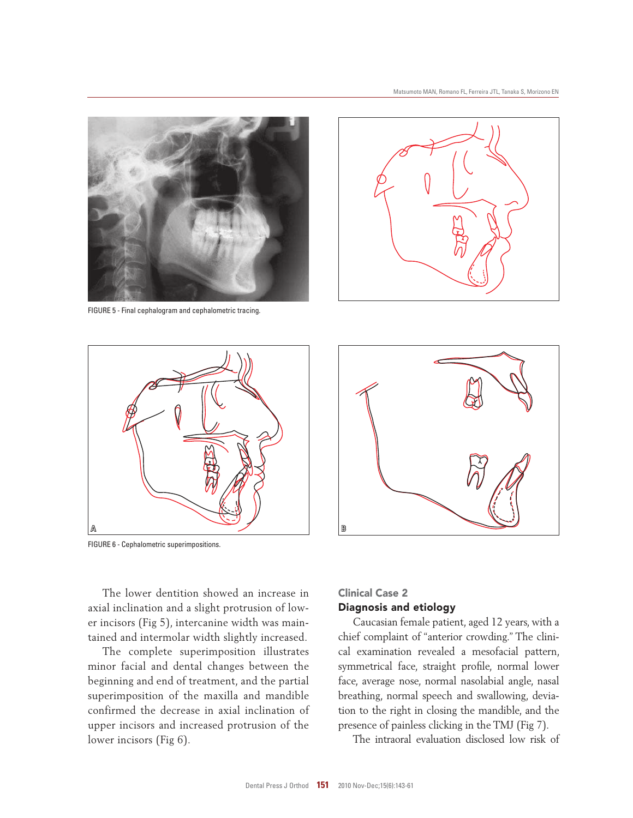

FIGURE 5 - Final cephalogram and cephalometric tracing.



FIGURE 6 - Cephalometric superimpositions.

The lower dentition showed an increase in axial inclination and a slight protrusion of lower incisors (Fig 5), intercanine width was maintained and intermolar width slightly increased.

The complete superimposition illustrates minor facial and dental changes between the beginning and end of treatment, and the partial superimposition of the maxilla and mandible confirmed the decrease in axial inclination of upper incisors and increased protrusion of the lower incisors (Fig 6).





## Clinical Case 2 Diagnosis and etiology

Caucasian female patient, aged 12 years, with a chief complaint of "anterior crowding." The clinical examination revealed a mesofacial pattern, symmetrical face, straight profile, normal lower face, average nose, normal nasolabial angle, nasal breathing, normal speech and swallowing, deviation to the right in closing the mandible, and the presence of painless clicking in the TMJ (Fig 7).

The intraoral evaluation disclosed low risk of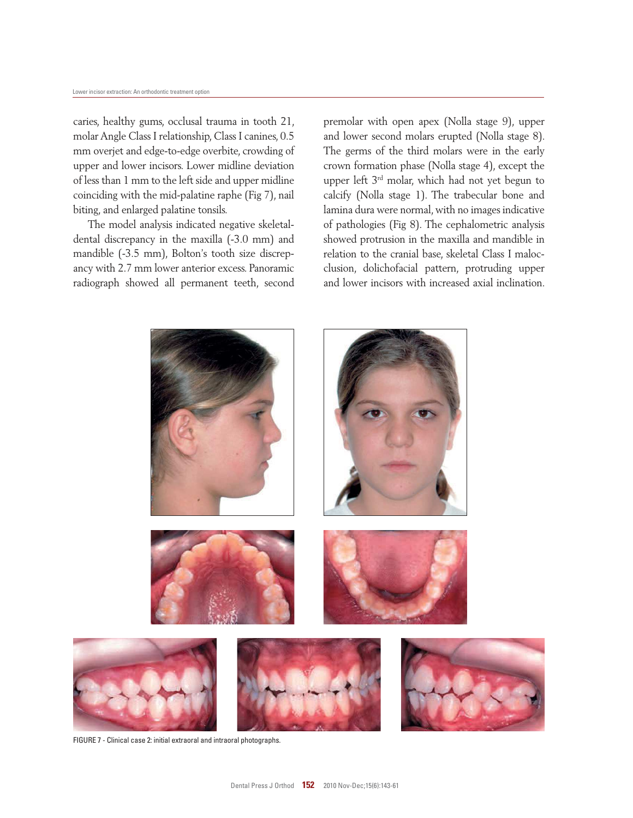caries, healthy gums, occlusal trauma in tooth 21, molar Angle Class I relationship, Class I canines, 0.5 mm overjet and edge-to-edge overbite, crowding of upper and lower incisors. Lower midline deviation of less than 1 mm to the left side and upper midline coinciding with the mid-palatine raphe (Fig 7), nail biting, and enlarged palatine tonsils.

The model analysis indicated negative skeletaldental discrepancy in the maxilla (-3.0 mm) and mandible (-3.5 mm), Bolton's tooth size discrepancy with 2.7 mm lower anterior excess. Panoramic radiograph showed all permanent teeth, second premolar with open apex (Nolla stage 9), upper and lower second molars erupted (Nolla stage 8). The germs of the third molars were in the early crown formation phase (Nolla stage 4), except the upper left 3rd molar, which had not yet begun to calcify (Nolla stage 1). The trabecular bone and lamina dura were normal, with no images indicative of pathologies (Fig 8). The cephalometric analysis showed protrusion in the maxilla and mandible in relation to the cranial base, skeletal Class I malocclusion, dolichofacial pattern, protruding upper and lower incisors with increased axial inclination.



FIGURE 7 - Clinical case 2: initial extraoral and intraoral photographs.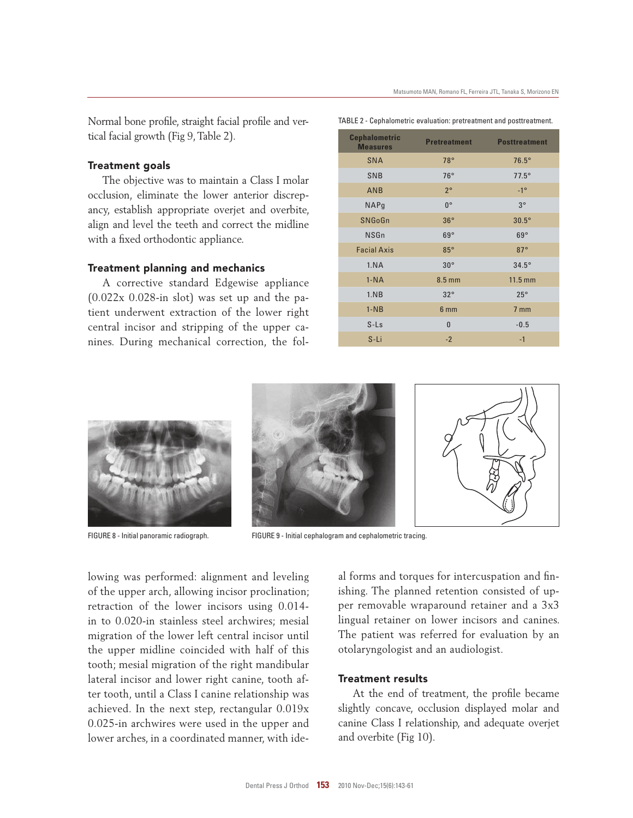Normal bone profile, straight facial profile and vertical facial growth (Fig 9, Table 2).

#### Treatment goals

The objective was to maintain a Class I molar occlusion, eliminate the lower anterior discrepancy, establish appropriate overjet and overbite, align and level the teeth and correct the midline with a fixed orthodontic appliance.

## Treatment planning and mechanics

A corrective standard Edgewise appliance  $(0.022x\ 0.028\text{-}in\$  slot) was set up and the patient underwent extraction of the lower right central incisor and stripping of the upper canines. During mechanical correction, the fol-

| <b>Cephalometric</b><br><b>Measures</b> | <b>Pretreatment</b> | <b>Posttreatment</b> |
|-----------------------------------------|---------------------|----------------------|
| <b>SNA</b>                              | $78^\circ$          | $76.5^\circ$         |
| <b>SNB</b>                              | $76^\circ$          | $77.5^\circ$         |
| <b>ANB</b>                              | $2^{\circ}$         | $-1^{\circ}$         |
| NAPg                                    | $0^{\circ}$         | $3^{\circ}$          |
| SNGoGn                                  | $36^\circ$          | $30.5^\circ$         |
| <b>NSGn</b>                             | $69^\circ$          | $69^\circ$           |
| <b>Facial Axis</b>                      | $85^\circ$          | $87^\circ$           |
| 1.NA                                    | $30^{\circ}$        | $34.5^\circ$         |
| $1-NA$                                  | $8.5 \text{ mm}$    | $11.5 \text{ mm}$    |
| 1.NB                                    | $32^{\circ}$        | $25^\circ$           |
| $1-NB$                                  | 6 <sub>mm</sub>     | 7 <sub>mm</sub>      |
| $S-Ls$                                  | $\bf{0}$            | $-0.5$               |
| S-Li                                    | $-2$                | $-1$                 |

TABLE 2 - Cephalometric evaluation: pretreatment and posttreatment.







FIGURE 8 - Initial panoramic radiograph. FIGURE 9 - Initial cephalogram and cephalometric tracing.

lowing was performed: alignment and leveling of the upper arch, allowing incisor proclination; retraction of the lower incisors using 0.014 in to 0.020-in stainless steel archwires; mesial migration of the lower left central incisor until the upper midline coincided with half of this tooth; mesial migration of the right mandibular lateral incisor and lower right canine, tooth after tooth, until a Class I canine relationship was achieved. In the next step, rectangular 0.019x 0.025-in archwires were used in the upper and lower arches, in a coordinated manner, with ide-

al forms and torques for intercuspation and finishing. The planned retention consisted of upper removable wraparound retainer and a 3x3 lingual retainer on lower incisors and canines. The patient was referred for evaluation by an otolaryngologist and an audiologist.

## Treatment results

At the end of treatment, the profile became slightly concave, occlusion displayed molar and canine Class I relationship, and adequate overjet and overbite (Fig 10).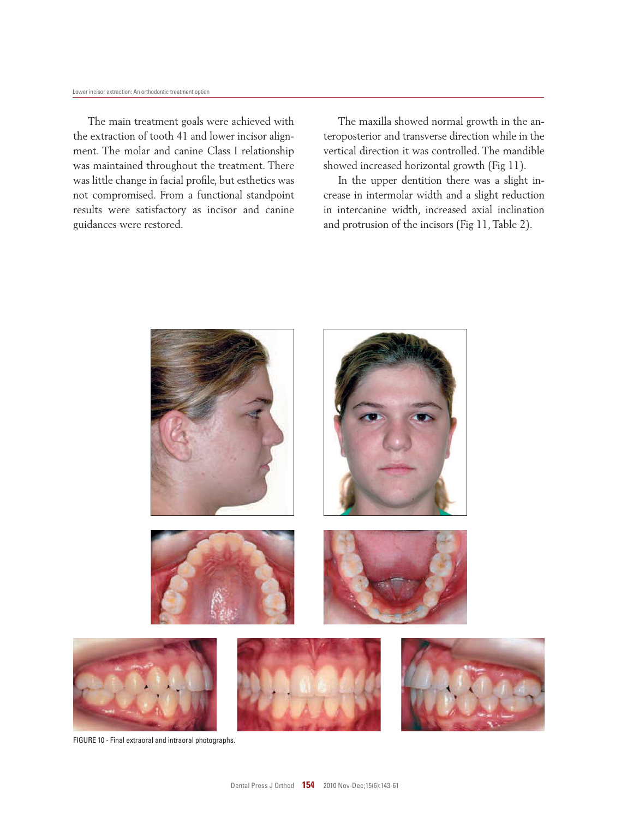The main treatment goals were achieved with the extraction of tooth 41 and lower incisor alignment. The molar and canine Class I relationship was maintained throughout the treatment. There was little change in facial profile, but esthetics was not compromised. From a functional standpoint results were satisfactory as incisor and canine guidances were restored.

The maxilla showed normal growth in the anteroposterior and transverse direction while in the vertical direction it was controlled. The mandible showed increased horizontal growth (Fig 11).

In the upper dentition there was a slight increase in intermolar width and a slight reduction in intercanine width, increased axial inclination and protrusion of the incisors (Fig 11, Table 2).



FIGURE 10 - Final extraoral and intraoral photographs.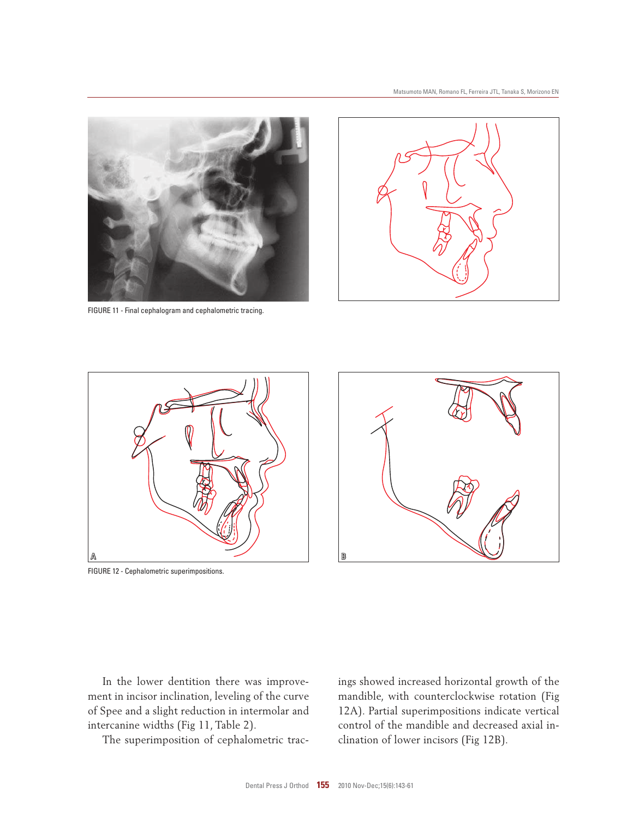

FIGURE 11 - Final cephalogram and cephalometric tracing.





FIGURE 12 - Cephalometric superimpositions.



In the lower dentition there was improvement in incisor inclination, leveling of the curve of Spee and a slight reduction in intermolar and intercanine widths (Fig 11, Table 2).

The superimposition of cephalometric trac-

ings showed increased horizontal growth of the mandible, with counterclockwise rotation (Fig 12A). Partial superimpositions indicate vertical control of the mandible and decreased axial inclination of lower incisors (Fig 12B).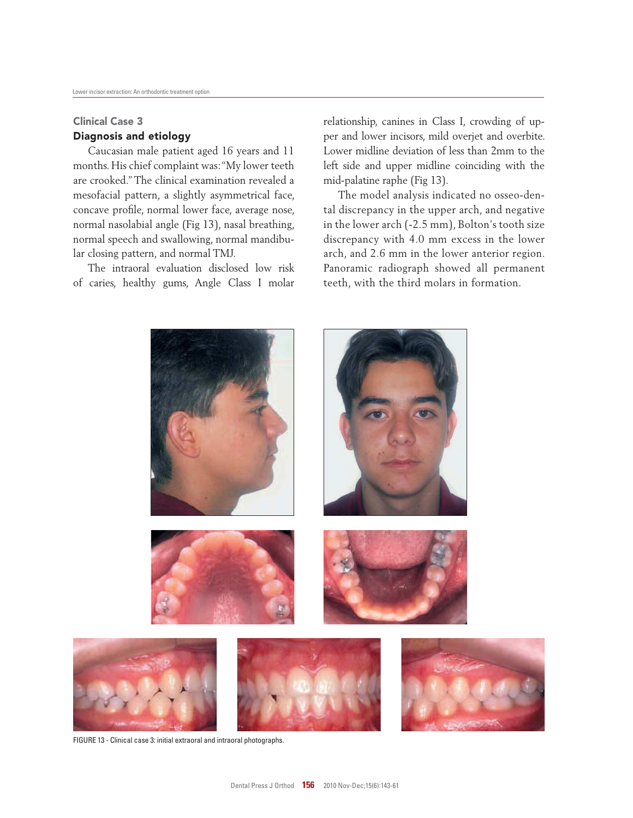## Clinical Case 3 Diagnosis and etiology

Caucasian male patient aged 16 years and 11 months. His chief complaint was: "My lower teeth are crooked." The clinical examination revealed a mesofacial pattern, a slightly asymmetrical face, concave profile, normal lower face, average nose, normal nasolabial angle (Fig 13), nasal breathing, normal speech and swallowing, normal mandibular closing pattern, and normal TMJ.

The intraoral evaluation disclosed low risk of caries, healthy gums, Angle Class I molar relationship, canines in Class I, crowding of upper and lower incisors, mild overjet and overbite. Lower midline deviation of less than 2mm to the left side and upper midline coinciding with the mid-palatine raphe (Fig 13).

The model analysis indicated no osseo-dental discrepancy in the upper arch, and negative in the lower arch (-2.5 mm), Bolton's tooth size discrepancy with 4.0 mm excess in the lower arch, and 2.6 mm in the lower anterior region. Panoramic radiograph showed all permanent teeth, with the third molars in formation.



FIGURE 13 - Clinical case 3: initial extraoral and intraoral photographs.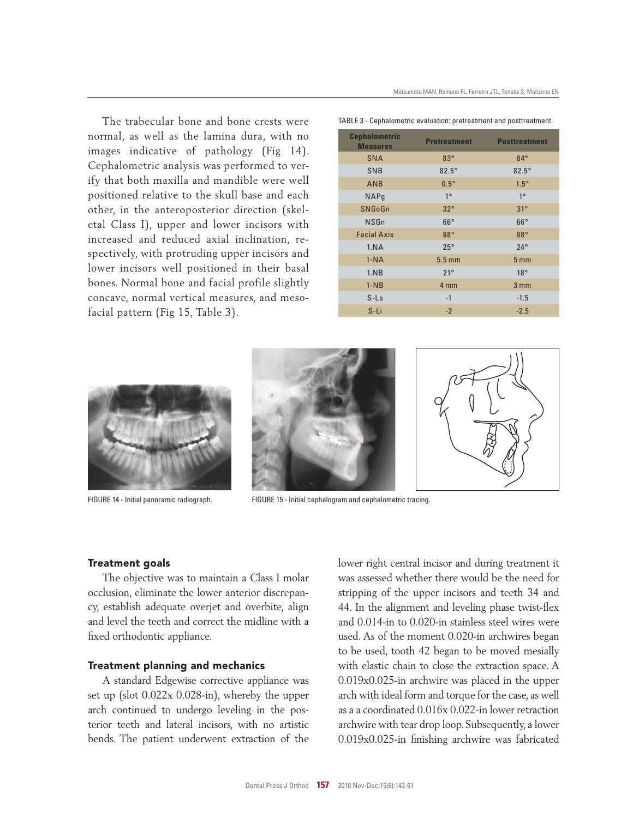The trabecular bone and bone crests were normal, as well as the lamina dura, with no images indicative of pathology (Fig 14). Cephalometric analysis was performed to verify that both maxilla and mandible were well positioned relative to the skull base and each other, in the anteroposterior direction (skeletal Class I), upper and lower incisors with increased and reduced axial inclination, respectively, with protruding upper incisors and lower incisors well positioned in their basal bones. Normal bone and facial profile slightly concave, normal vertical measures, and mesofacial pattern (Fig 15, Table 3).

| <b>Cephalometric</b><br><b>Measures</b> | <b>Pretreatment</b> | <b>Posttreatment</b> |
|-----------------------------------------|---------------------|----------------------|
| <b>SNA</b>                              | $83^\circ$          | $84^\circ$           |
| <b>SNB</b>                              | $82.5^\circ$        | $82.5^\circ$         |
| <b>ANB</b>                              | $0.5^\circ$         | $1.5^\circ$          |
| NAPg                                    | $1^{\circ}$         | $1^{\circ}$          |
| SNGoGn                                  | $32^\circ$          | $31^\circ$           |
| <b>NSGn</b>                             | $66^\circ$          | $66^\circ$           |
| <b>Facial Axis</b>                      | $88^\circ$          | $88^\circ$           |
| 1.NA                                    | $25^\circ$          | $24^{\circ}$         |
| $1-NA$                                  | $5.5 \text{ mm}$    | 5 <sub>mm</sub>      |
| 1.NB                                    | $21^{\circ}$        | $18^{\circ}$         |
| $1-NB$                                  | $4 \, \text{mm}$    | 3 <sub>mm</sub>      |
| $S-Ls$                                  | $-1$                | $-1.5$               |
| S-Li                                    | $-2$                | $-2.5$               |

TABLE 3 - Cephalometric evaluation: pretreatment and posttreatment.







#### Treatment goals

The objective was to maintain a Class I molar occlusion, eliminate the lower anterior discrepancy, establish adequate overjet and overbite, align and level the teeth and correct the midline with a fixed orthodontic appliance.

## Treatment planning and mechanics

A standard Edgewise corrective appliance was set up (slot 0.022x 0.028-in), whereby the upper arch continued to undergo leveling in the posterior teeth and lateral incisors, with no artistic bends. The patient underwent extraction of the

lower right central incisor and during treatment it was assessed whether there would be the need for stripping of the upper incisors and teeth 34 and 44. In the alignment and leveling phase twist-flex and 0.014-in to 0.020-in stainless steel wires were used. As of the moment 0.020-in archwires began to be used, tooth 42 began to be moved mesially with elastic chain to close the extraction space. A 0.019x0.025-in archwire was placed in the upper arch with ideal form and torque for the case, as well as a a coordinated 0.016x 0.022-in lower retraction archwire with tear drop loop. Subsequently, a lower 0.019x0.025-in finishing archwire was fabricated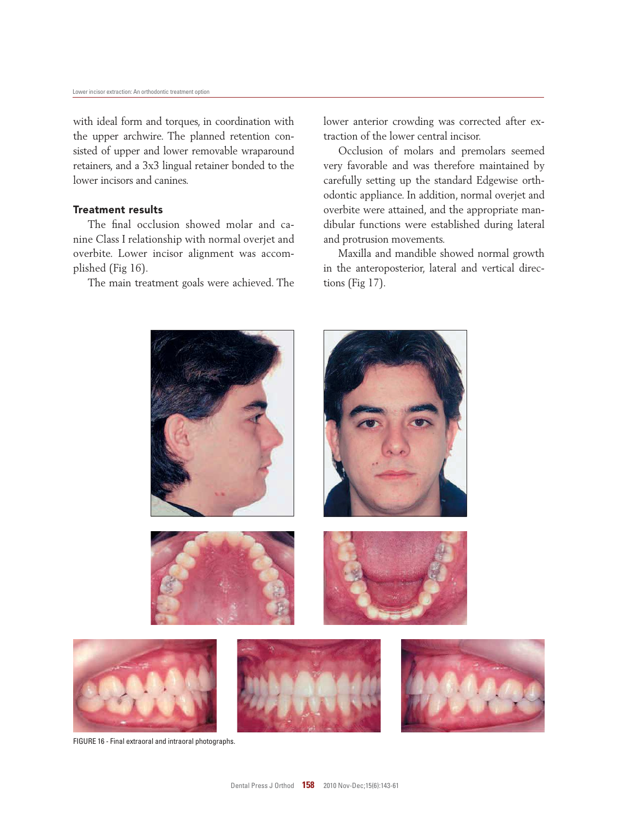with ideal form and torques, in coordination with the upper archwire. The planned retention consisted of upper and lower removable wraparound retainers, and a 3x3 lingual retainer bonded to the lower incisors and canines.

## Treatment results

The final occlusion showed molar and canine Class I relationship with normal overjet and overbite. Lower incisor alignment was accomplished (Fig 16).

The main treatment goals were achieved. The

lower anterior crowding was corrected after extraction of the lower central incisor.

Occlusion of molars and premolars seemed very favorable and was therefore maintained by carefully setting up the standard Edgewise orthodontic appliance. In addition, normal overjet and overbite were attained, and the appropriate mandibular functions were established during lateral and protrusion movements.

Maxilla and mandible showed normal growth in the anteroposterior, lateral and vertical directions (Fig 17).



FIGURE 16 - Final extraoral and intraoral photographs.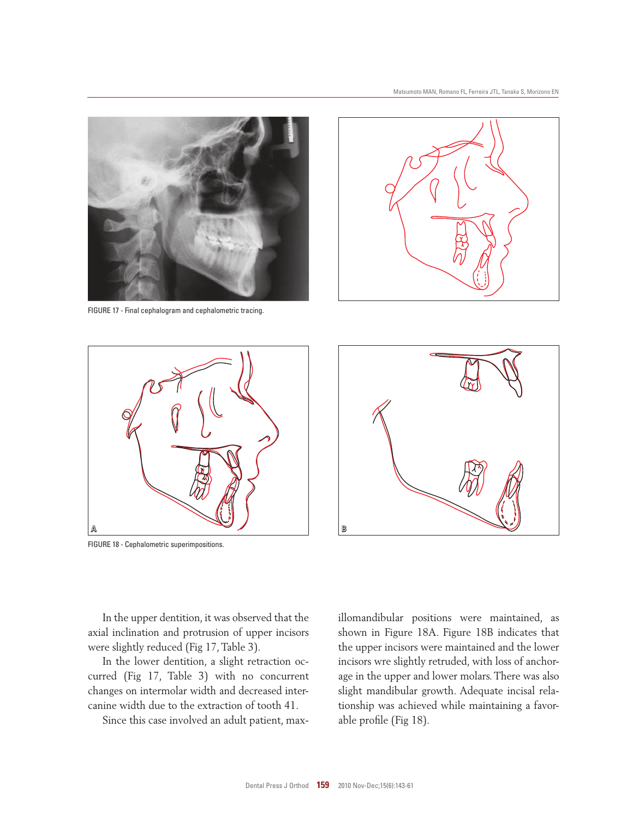

FIGURE 17 - Final cephalogram and cephalometric tracing.



FIGURE 18 - Cephalometric superimpositions.



In the upper dentition, it was observed that the axial inclination and protrusion of upper incisors were slightly reduced (Fig 17, Table 3).

In the lower dentition, a slight retraction occurred (Fig 17, Table 3) with no concurrent changes on intermolar width and decreased intercanine width due to the extraction of tooth 41.

Since this case involved an adult patient, max-

illomandibular positions were maintained, as shown in Figure 18A. Figure 18B indicates that the upper incisors were maintained and the lower incisors wre slightly retruded, with loss of anchorage in the upper and lower molars. There was also slight mandibular growth. Adequate incisal relationship was achieved while maintaining a favorable profile (Fig 18).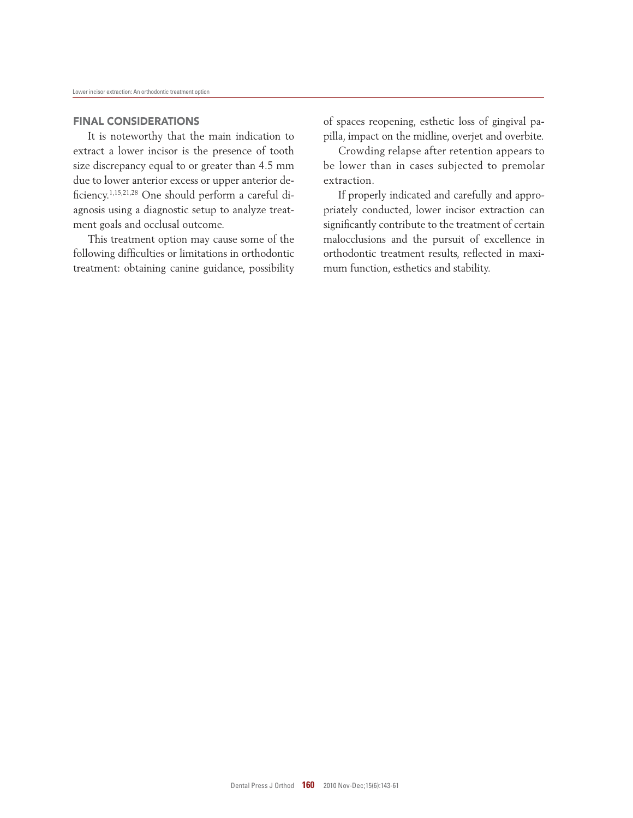## FInAL COnSIDERAtIOnS

It is noteworthy that the main indication to extract a lower incisor is the presence of tooth size discrepancy equal to or greater than 4.5 mm due to lower anterior excess or upper anterior deficiency.1,15,21,28 One should perform a careful diagnosis using a diagnostic setup to analyze treatment goals and occlusal outcome.

This treatment option may cause some of the following difficulties or limitations in orthodontic treatment: obtaining canine guidance, possibility of spaces reopening, esthetic loss of gingival papilla, impact on the midline, overjet and overbite.

Crowding relapse after retention appears to be lower than in cases subjected to premolar extraction.

If properly indicated and carefully and appropriately conducted, lower incisor extraction can significantly contribute to the treatment of certain malocclusions and the pursuit of excellence in orthodontic treatment results, reflected in maximum function, esthetics and stability.